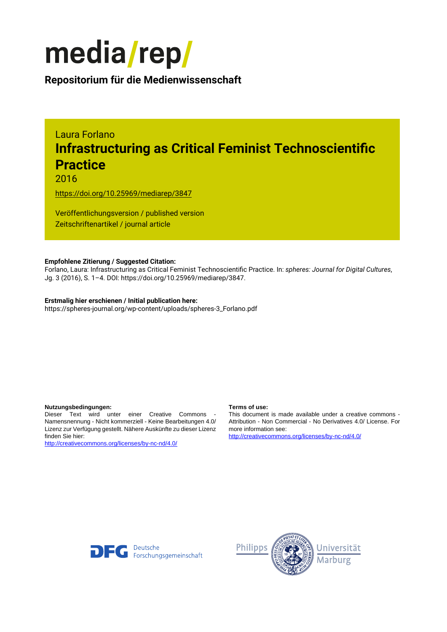

**Repositorium für die [Medienwissenschaft](https://mediarep.org)**

# Laura Forlano **Infrastructuring as Critical Feminist Technoscientific Practice**

2016

<https://doi.org/10.25969/mediarep/3847>

Veröffentlichungsversion / published version Zeitschriftenartikel / journal article

## **Empfohlene Zitierung / Suggested Citation:**

Forlano, Laura: Infrastructuring as Critical Feminist Technoscientific Practice. In: *spheres: Journal for Digital Cultures*, Jg. 3 (2016), S. 1–4. DOI: https://doi.org/10.25969/mediarep/3847.

## **Erstmalig hier erschienen / Initial publication here:**

https://spheres-journal.org/wp-content/uploads/spheres-3\_Forlano.pdf

### **Nutzungsbedingungen: Terms of use:**

Dieser Text wird unter einer Creative Commons - Namensnennung - Nicht kommerziell - Keine Bearbeitungen 4.0/ Lizenz zur Verfügung gestellt. Nähere Auskünfte zu dieser Lizenz finden Sie hier:

<http://creativecommons.org/licenses/by-nc-nd/4.0/>

This document is made available under a creative commons - Attribution - Non Commercial - No Derivatives 4.0/ License. For more information see:

<http://creativecommons.org/licenses/by-nc-nd/4.0/>



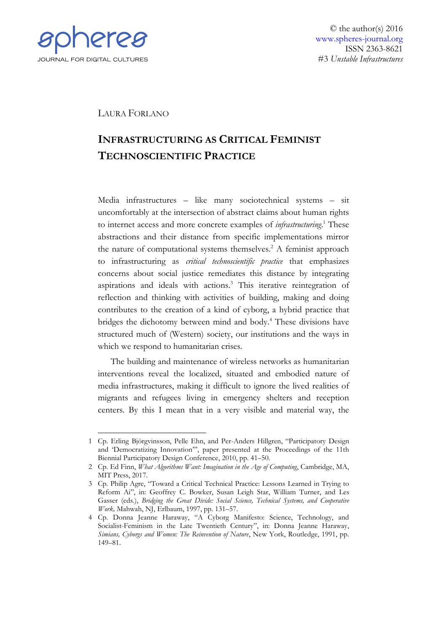

© the author(s) 2016 [www.spheres-journal.org](http://www.spheres-journal.org/) ISSN 2363-8621 #3 *Unstable Infrastructures*

LAURA FORLANO

# **INFRASTRUCTURING AS CRITICAL FEMINIST TECHNOSCIENTIFIC PRACTICE**

Media infrastructures – like many sociotechnical systems – sit uncomfortably at the intersection of abstract claims about human rights to internet access and more concrete examples of *infrastructuring*. <sup>1</sup> These abstractions and their distance from specific implementations mirror the nature of computational systems themselves.<sup>2</sup> A feminist approach to infrastructuring as *critical technoscientific practice* that emphasizes concerns about social justice remediates this distance by integrating aspirations and ideals with actions.<sup>3</sup> This iterative reintegration of reflection and thinking with activities of building, making and doing contributes to the creation of a kind of cyborg, a hybrid practice that bridges the dichotomy between mind and body.<sup>4</sup> These divisions have structured much of (Western) society, our institutions and the ways in which we respond to humanitarian crises.

The building and maintenance of wireless networks as humanitarian interventions reveal the localized, situated and embodied nature of media infrastructures, making it difficult to ignore the lived realities of migrants and refugees living in emergency shelters and reception centers. By this I mean that in a very visible and material way, the

<sup>&</sup>lt;u>.</u> 1 Cp. Erling Björgvinsson, Pelle Ehn, and Per-Anders Hillgren, "Participatory Design and 'Democratizing Innovation'", paper presented at the Proceedings of the 11th Biennial Participatory Design Conference, 2010, pp. 41–50.

<sup>2</sup> Cp. Ed Finn, *What Algorithms Want: Imagination in the Age of Computing*, Cambridge, MA, MIT Press, 2017.

<sup>3</sup> Cp. Philip Agre, "Toward a Critical Technical Practice: Lessons Learned in Trying to Reform Ai", in: Geoffrey C. Bowker, Susan Leigh Star, William Turner, and Les Gasser (eds.), *Bridging the Great Divide: Social Science, Technical Systems, and Cooperative Work,* Mahwah, NJ, Erlbaum, 1997, pp. 131–57.

<sup>4</sup> Cp. Donna Jeanne Haraway, "A Cyborg Manifesto: Science, Technology, and Socialist-Feminism in the Late Twentieth Century", in: Donna Jeanne Haraway, *Simians, Cyborgs and Women: The Reinvention of Nature*, New York, Routledge, 1991, pp. 149–81.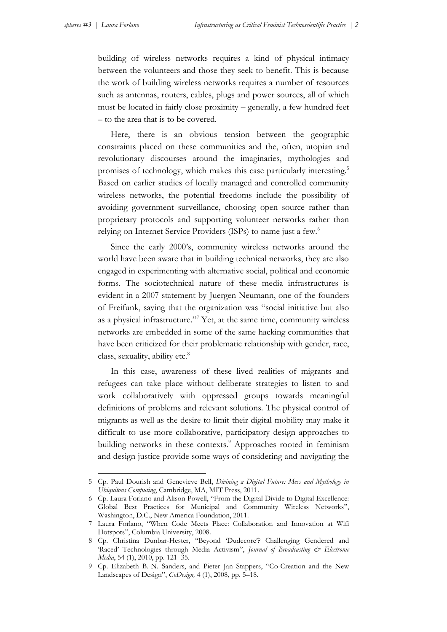<u>.</u>

building of wireless networks requires a kind of physical intimacy between the volunteers and those they seek to benefit. This is because the work of building wireless networks requires a number of resources such as antennas, routers, cables, plugs and power sources, all of which must be located in fairly close proximity – generally, a few hundred feet – to the area that is to be covered.

Here, there is an obvious tension between the geographic constraints placed on these communities and the, often, utopian and revolutionary discourses around the imaginaries, mythologies and promises of technology, which makes this case particularly interesting.<sup>5</sup> Based on earlier studies of locally managed and controlled community wireless networks, the potential freedoms include the possibility of avoiding government surveillance, choosing open source rather than proprietary protocols and supporting volunteer networks rather than relying on Internet Service Providers (ISPs) to name just a few.<sup>6</sup>

Since the early 2000's, community wireless networks around the world have been aware that in building technical networks, they are also engaged in experimenting with alternative social, political and economic forms. The sociotechnical nature of these media infrastructures is evident in a 2007 statement by Juergen Neumann, one of the founders of Freifunk, saying that the organization was "social initiative but also as a physical infrastructure."<sup>7</sup> Yet, at the same time, community wireless networks are embedded in some of the same hacking communities that have been criticized for their problematic relationship with gender, race, class, sexuality, ability etc.<sup>8</sup>

In this case, awareness of these lived realities of migrants and refugees can take place without deliberate strategies to listen to and work collaboratively with oppressed groups towards meaningful definitions of problems and relevant solutions. The physical control of migrants as well as the desire to limit their digital mobility may make it difficult to use more collaborative, participatory design approaches to building networks in these contexts.<sup>9</sup> Approaches rooted in feminism and design justice provide some ways of considering and navigating the

<sup>5</sup> Cp. Paul Dourish and Genevieve Bell, *Divining a Digital Future: Mess and Mythology in Ubiquitous Computing*, Cambridge, MA, MIT Press, 2011.

<sup>6</sup> Cp. Laura Forlano and Alison Powell, "From the Digital Divide to Digital Excellence: Global Best Practices for Municipal and Community Wireless Networks", Washington, D.C., New America Foundation, 2011.

<sup>7</sup> Laura Forlano, "When Code Meets Place: Collaboration and Innovation at Wifi Hotspots", Columbia University, 2008.

<sup>8</sup> Cp. Christina Dunbar-Hester, "Beyond 'Dudecore'? Challenging Gendered and 'Raced' Technologies through Media Activism", *Journal of Broadcasting & Electronic Media*, 54 (1), 2010, pp. 121–35.

<sup>9</sup> Cp. Elizabeth B.-N. Sanders, and Pieter Jan Stappers, "Co-Creation and the New Landscapes of Design", *CoDesign,* 4 (1), 2008, pp. 5–18.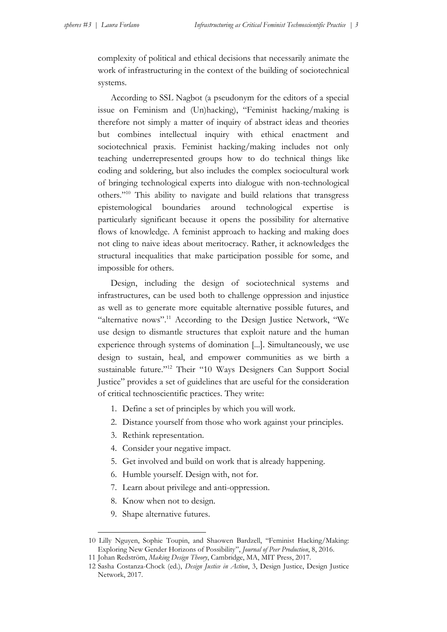complexity of political and ethical decisions that necessarily animate the work of infrastructuring in the context of the building of sociotechnical systems.

According to SSL Nagbot (a pseudonym for the editors of a special issue on Feminism and (Un)hacking), "Feminist hacking/making is therefore not simply a matter of inquiry of abstract ideas and theories but combines intellectual inquiry with ethical enactment and sociotechnical praxis. Feminist hacking/making includes not only teaching underrepresented groups how to do technical things like coding and soldering, but also includes the complex sociocultural work of bringing technological experts into dialogue with non-technological others."<sup>10</sup> This ability to navigate and build relations that transgress epistemological boundaries around technological expertise is particularly significant because it opens the possibility for alternative flows of knowledge. A feminist approach to hacking and making does not cling to naive ideas about meritocracy. Rather, it acknowledges the structural inequalities that make participation possible for some, and impossible for others.

Design, including the design of sociotechnical systems and infrastructures, can be used both to challenge oppression and injustice as well as to generate more equitable alternative possible futures, and "alternative nows".<sup>11</sup> According to the Design Justice Network, "We use design to dismantle structures that exploit nature and the human experience through systems of domination [...]. Simultaneously, we use design to sustain, heal, and empower communities as we birth a sustainable future."<sup>12</sup> Their "10 Ways Designers Can Support Social Justice" provides a set of guidelines that are useful for the consideration of critical technoscientific practices. They write:

- 1. Define a set of principles by which you will work.
- 2. Distance yourself from those who work against your principles.
- 3. Rethink representation.
- 4. Consider your negative impact.
- 5. Get involved and build on work that is already happening.
- 6. Humble yourself. Design with, not for.
- 7. Learn about privilege and anti-oppression.
- 8. Know when not to design.
- 9. Shape alternative futures.

<u>.</u>

<sup>10</sup> Lilly Nguyen, Sophie Toupin, and Shaowen Bardzell, "Feminist Hacking/Making: Exploring New Gender Horizons of Possibility", *Journal of Peer Production*, 8, 2016.

<sup>11</sup> Johan Redström, *Making Design Theory*, Cambridge, MA, MIT Press, 2017.

<sup>12</sup> Sasha Costanza-Chock (ed.), *Design Justice in Action*, 3, Design Justice, Design Justice Network, 2017.